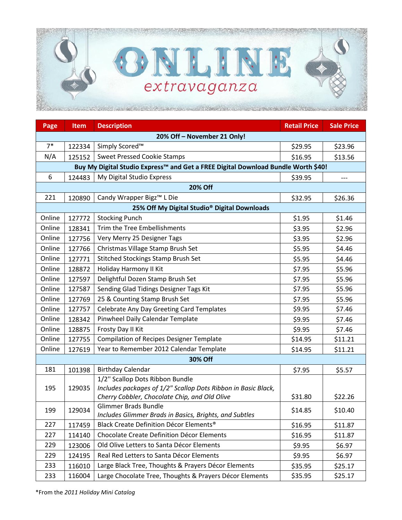

| Page                                                     | <b>Item</b>                                                                       | <b>Description</b>                                                                    | <b>Retail Price</b> | <b>Sale Price</b>  |  |  |  |
|----------------------------------------------------------|-----------------------------------------------------------------------------------|---------------------------------------------------------------------------------------|---------------------|--------------------|--|--|--|
| 20% Off - November 21 Only!                              |                                                                                   |                                                                                       |                     |                    |  |  |  |
| $7*$                                                     | 122334                                                                            | Simply Scored <sup>™</sup>                                                            | \$29.95             | \$23.96            |  |  |  |
| N/A                                                      | 125152                                                                            | <b>Sweet Pressed Cookie Stamps</b>                                                    | \$16.95             | \$13.56            |  |  |  |
|                                                          | Buy My Digital Studio Express™ and Get a FREE Digital Download Bundle Worth \$40! |                                                                                       |                     |                    |  |  |  |
| 6                                                        | 124483                                                                            | My Digital Studio Express                                                             | \$39.95             | $---$              |  |  |  |
| <b>20% Off</b>                                           |                                                                                   |                                                                                       |                     |                    |  |  |  |
| 221                                                      | 120890                                                                            | Candy Wrapper Bigz™ L Die                                                             | \$32.95             | \$26.36            |  |  |  |
| 25% Off My Digital Studio <sup>®</sup> Digital Downloads |                                                                                   |                                                                                       |                     |                    |  |  |  |
| Online                                                   | 127772                                                                            | <b>Stocking Punch</b>                                                                 | \$1.95              | \$1.46             |  |  |  |
| Online                                                   | 128341                                                                            | Trim the Tree Embellishments                                                          | \$3.95              | \$2.96             |  |  |  |
| Online                                                   | 127756                                                                            | Very Merry 25 Designer Tags                                                           | \$3.95              | \$2.96             |  |  |  |
| Online                                                   | 127766                                                                            | Christmas Village Stamp Brush Set                                                     | \$5.95              | \$4.46             |  |  |  |
| Online                                                   | 127771                                                                            | Stitched Stockings Stamp Brush Set                                                    | \$5.95              | \$4.46             |  |  |  |
| Online                                                   | 128872                                                                            | Holiday Harmony II Kit                                                                | \$7.95              | \$5.96             |  |  |  |
| Online                                                   | 127597                                                                            | Delightful Dozen Stamp Brush Set                                                      | \$7.95              | \$5.96             |  |  |  |
| Online                                                   | 127587                                                                            | Sending Glad Tidings Designer Tags Kit                                                | \$7.95              | \$5.96             |  |  |  |
| Online                                                   | 127769                                                                            | 25 & Counting Stamp Brush Set                                                         | \$7.95              | \$5.96             |  |  |  |
| Online                                                   | 127757                                                                            | Celebrate Any Day Greeting Card Templates                                             | \$9.95              | \$7.46             |  |  |  |
| Online                                                   | 128342                                                                            | Pinwheel Daily Calendar Template                                                      | \$9.95              | \$7.46             |  |  |  |
| Online                                                   | 128875                                                                            | Frosty Day II Kit                                                                     | \$9.95              | \$7.46             |  |  |  |
| Online                                                   | 127755                                                                            | <b>Compilation of Recipes Designer Template</b>                                       | \$14.95             | \$11.21            |  |  |  |
| Online                                                   | 127619                                                                            | Year to Remember 2012 Calendar Template                                               | \$14.95             | \$11.21            |  |  |  |
| 30% Off                                                  |                                                                                   |                                                                                       |                     |                    |  |  |  |
| 181                                                      | 101398                                                                            | <b>Birthday Calendar</b>                                                              | \$7.95              | \$5.57             |  |  |  |
|                                                          | 129035                                                                            | 1/2" Scallop Dots Ribbon Bundle                                                       |                     |                    |  |  |  |
| 195                                                      |                                                                                   | Includes packages of 1/2" Scallop Dots Ribbon in Basic Black,                         |                     |                    |  |  |  |
|                                                          |                                                                                   | Cherry Cobbler, Chocolate Chip, and Old Olive                                         | \$31.80             | \$22.26            |  |  |  |
| 199                                                      | 129034                                                                            | <b>Glimmer Brads Bundle</b><br>Includes Glimmer Brads in Basics, Brights, and Subtles | \$14.85             | \$10.40            |  |  |  |
| 227                                                      | 117459                                                                            | Black Create Definition Décor Elements <sup>®</sup>                                   | \$16.95             | \$11.87            |  |  |  |
| 227                                                      | 114140                                                                            | Chocolate Create Definition Décor Elements                                            | \$16.95             | \$11.87            |  |  |  |
| 229                                                      | 123006                                                                            | Old Olive Letters to Santa Décor Elements                                             | \$9.95              | \$6.97             |  |  |  |
| 229                                                      | 124195                                                                            | Real Red Letters to Santa Décor Elements                                              | \$9.95              | \$6.97             |  |  |  |
| 233                                                      | 116010                                                                            | Large Black Tree, Thoughts & Prayers Décor Elements                                   |                     |                    |  |  |  |
| 233                                                      | 116004                                                                            | Large Chocolate Tree, Thoughts & Prayers Décor Elements                               | \$35.95<br>\$35.95  | \$25.17<br>\$25.17 |  |  |  |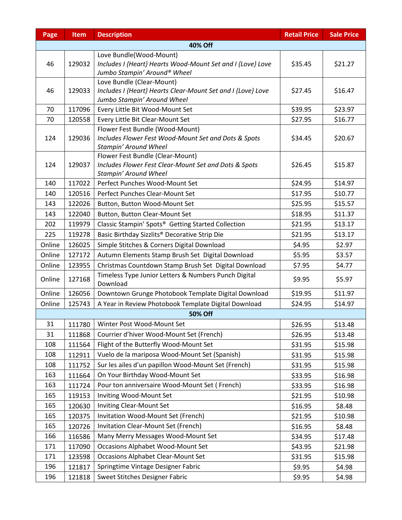| Page    | Item   | <b>Description</b>                                                                      | <b>Retail Price</b> | <b>Sale Price</b> |  |  |  |
|---------|--------|-----------------------------------------------------------------------------------------|---------------------|-------------------|--|--|--|
| 40% Off |        |                                                                                         |                     |                   |  |  |  |
|         |        | Love Bundle(Wood-Mount)                                                                 |                     |                   |  |  |  |
| 46      | 129032 | Includes I {Heart} Hearts Wood-Mount Set and I {Love} Love                              | \$35.45             | \$21.27           |  |  |  |
|         |        | Jumbo Stampin' Around® Wheel                                                            |                     |                   |  |  |  |
|         |        | Love Bundle (Clear-Mount)                                                               |                     |                   |  |  |  |
| 46      | 129033 | Includes I {Heart} Hearts Clear-Mount Set and I {Love} Love                             | \$27.45             | \$16.47           |  |  |  |
|         |        | Jumbo Stampin' Around Wheel                                                             |                     |                   |  |  |  |
| 70      | 117096 | Every Little Bit Wood-Mount Set                                                         | \$39.95             | \$23.97           |  |  |  |
| 70      | 120558 | Every Little Bit Clear-Mount Set                                                        | \$27.95             | \$16.77           |  |  |  |
| 124     | 129036 | Flower Fest Bundle (Wood-Mount)<br>Includes Flower Fest Wood-Mount Set and Dots & Spots | \$34.45             | \$20.67           |  |  |  |
|         |        | Stampin' Around Wheel                                                                   |                     |                   |  |  |  |
|         |        | Flower Fest Bundle (Clear-Mount)                                                        |                     |                   |  |  |  |
| 124     | 129037 | Includes Flower Fest Clear-Mount Set and Dots & Spots                                   | \$26.45             | \$15.87           |  |  |  |
|         |        | Stampin' Around Wheel                                                                   |                     |                   |  |  |  |
| 140     | 117022 | Perfect Punches Wood-Mount Set                                                          | \$24.95             | \$14.97           |  |  |  |
| 140     | 120516 | Perfect Punches Clear-Mount Set                                                         | \$17.95             | \$10.77           |  |  |  |
| 143     | 122026 | Button, Button Wood-Mount Set                                                           | \$25.95             | \$15.57           |  |  |  |
| 143     | 122040 | Button, Button Clear-Mount Set                                                          | \$18.95             | \$11.37           |  |  |  |
| 202     | 119979 | Classic Stampin' Spots® Getting Started Collection                                      | \$21.95             | \$13.17           |  |  |  |
| 225     | 119278 | Basic Birthday Sizzlits® Decorative Strip Die                                           | \$21.95             | \$13.17           |  |  |  |
| Online  | 126025 | Simple Stitches & Corners Digital Download                                              | \$4.95              | \$2.97            |  |  |  |
| Online  | 127172 | Autumn Elements Stamp Brush Set Digital Download                                        | \$5.95              | \$3.57            |  |  |  |
| Online  | 123955 | Christmas Countdown Stamp Brush Set Digital Download                                    | \$7.95              | \$4.77            |  |  |  |
|         |        | Timeless Type Junior Letters & Numbers Punch Digital                                    |                     |                   |  |  |  |
| Online  | 127168 | Download                                                                                | \$9.95              | \$5.97            |  |  |  |
| Online  | 126056 | Downtown Grunge Photobook Template Digital Download                                     | \$19.95             | \$11.97           |  |  |  |
| Online  | 125743 | A Year in Review Photobook Template Digital Download                                    | \$24.95             | \$14.97           |  |  |  |
|         |        | <b>50% Off</b>                                                                          |                     |                   |  |  |  |
| 31      | 111780 | Winter Post Wood-Mount Set                                                              | \$26.95             | \$13.48           |  |  |  |
| 31      | 111868 | Courrier d'hiver Wood-Mount Set (French)                                                | \$26.95             | \$13.48           |  |  |  |
| 108     | 111564 | Flight of the Butterfly Wood-Mount Set                                                  | \$31.95             | \$15.98           |  |  |  |
| 108     | 112911 | Vuelo de la mariposa Wood-Mount Set (Spanish)                                           | \$31.95             | \$15.98           |  |  |  |
| 108     | 111752 | Sur les ailes d'un papillon Wood-Mount Set (French)                                     | \$31.95             | \$15.98           |  |  |  |
| 163     | 111664 | On Your Birthday Wood-Mount Set                                                         | \$33.95             | \$16.98           |  |  |  |
| 163     | 111724 | Pour ton anniversaire Wood-Mount Set (French)                                           | \$33.95             | \$16.98           |  |  |  |
| 165     | 119153 | Inviting Wood-Mount Set                                                                 | \$21.95             | \$10.98           |  |  |  |
| 165     | 120630 | Inviting Clear-Mount Set                                                                | \$16.95             | \$8.48            |  |  |  |
| 165     | 120375 | Invitation Wood-Mount Set (French)                                                      | \$21.95             | \$10.98           |  |  |  |
| 165     | 120726 | Invitation Clear-Mount Set (French)                                                     | \$16.95             | \$8.48            |  |  |  |
| 166     | 116586 | Many Merry Messages Wood-Mount Set                                                      | \$34.95             | \$17.48           |  |  |  |
| 171     | 117090 | <b>Occasions Alphabet Wood-Mount Set</b>                                                | \$43.95             | \$21.98           |  |  |  |
| 171     | 123598 | <b>Occasions Alphabet Clear-Mount Set</b>                                               | \$31.95             | \$15.98           |  |  |  |
| 196     | 121817 | Springtime Vintage Designer Fabric                                                      | \$9.95              | \$4.98            |  |  |  |
| 196     | 121818 | Sweet Stitches Designer Fabric                                                          | \$9.95              | \$4.98            |  |  |  |